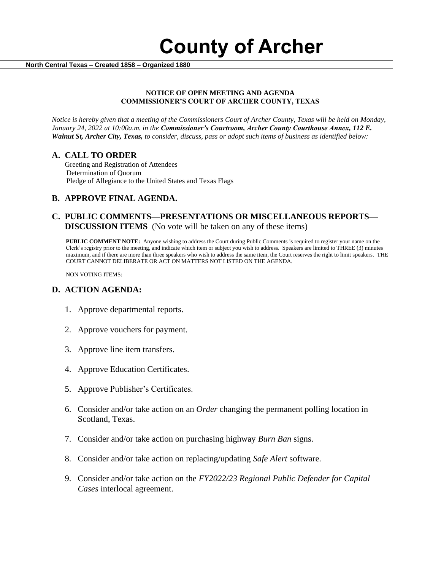

 **North Central Texas – Created 1858 – Organized 1880**

#### **NOTICE OF OPEN MEETING AND AGENDA COMMISSIONER'S COURT OF ARCHER COUNTY, TEXAS**

*Notice is hereby given that a meeting of the Commissioners Court of Archer County, Texas will be held on Monday, January 24, 2022 at 10:00a.m. in the Commissioner's Courtroom, Archer County Courthouse Annex, 112 E. Walnut St, Archer City, Texas, to consider, discuss, pass or adopt such items of business as identified below:*

#### **A. CALL TO ORDER**

 Greeting and Registration of Attendees Determination of Quorum Pledge of Allegiance to the United States and Texas Flags

### **B. APPROVE FINAL AGENDA.**

#### **C. PUBLIC COMMENTS—PRESENTATIONS OR MISCELLANEOUS REPORTS— DISCUSSION ITEMS** (No vote will be taken on any of these items)

**PUBLIC COMMENT NOTE:** Anyone wishing to address the Court during Public Comments is required to register your name on the Clerk's registry prior to the meeting, and indicate which item or subject you wish to address. Speakers are limited to THREE (3) minutes maximum, and if there are more than three speakers who wish to address the same item, the Court reserves the right to limit speakers. THE COURT CANNOT DELIBERATE OR ACT ON MATTERS NOT LISTED ON THE AGENDA.

NON VOTING ITEMS:

#### **D. ACTION AGENDA:**

- 1. Approve departmental reports.
- 2. Approve vouchers for payment.
- 3. Approve line item transfers.
- 4. Approve Education Certificates.
- 5. Approve Publisher's Certificates.
- 6. Consider and/or take action on an *Order* changing the permanent polling location in Scotland, Texas.
- 7. Consider and/or take action on purchasing highway *Burn Ban* signs.
- 8. Consider and/or take action on replacing/updating *Safe Alert* software.
- 9. Consider and/or take action on the *FY2022/23 Regional Public Defender for Capital Cases* interlocal agreement.